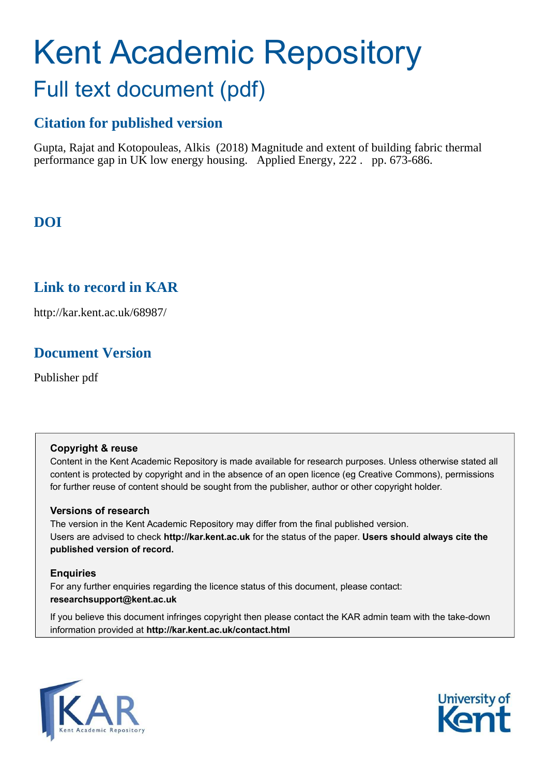# Kent Academic Repository Full text document (pdf)

### **Citation for published version**

Gupta, Rajat and Kotopouleas, Alkis (2018) Magnitude and extent of building fabric thermal performance gap in UK low energy housing. Applied Energy,  $222$ . pp. 673-686.

## **DOI**

### **Link to record in KAR**

http://kar.kent.ac.uk/68987/

### **Document Version**

Publisher pdf

### **Copyright & reuse**

Content in the Kent Academic Repository is made available for research purposes. Unless otherwise stated all content is protected by copyright and in the absence of an open licence (eg Creative Commons), permissions for further reuse of content should be sought from the publisher, author or other copyright holder.

### **Versions of research**

The version in the Kent Academic Repository may differ from the final published version. Users are advised to check **http://kar.kent.ac.uk** for the status of the paper. **Users should always cite the published version of record.**

### **Enquiries**

For any further enquiries regarding the licence status of this document, please contact: **researchsupport@kent.ac.uk**

<span id="page-0-0"></span>If you believe this document infringes copyright then please contact the KAR admin team with the take-down information provided at **http://kar.kent.ac.uk/contact.html**



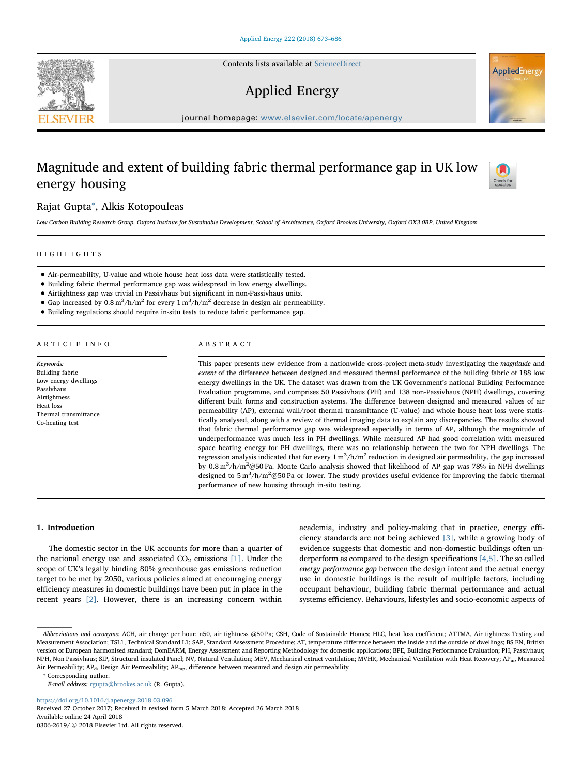Contents lists available at [ScienceDirect](http://www.sciencedirect.com/science/journal/03062619)

### Applied Energy

journal homepage: [www.elsevier.com/locate/apenergy](https://www.elsevier.com/locate/apenergy)

### Magnitude and extent of building fabric thermal performance gap in UK low energy housing



AppliedEnergy

#### Rajat Gupta<sup>\*</sup>, Alkis Kotopouleas

*Low Carbon Building Research Group, Oxford Institute for Sustainable Development, School of Architecture, Oxford Brookes University, Oxford OX3 0BP, United Kingdom*

#### HIGHLIGHTS

- Air-permeability, U-value and whole house heat loss data were statistically tested.
- An-permeabinty, o-value and whole house heat loss data were staustically tested.<br>• Building fabric thermal performance gap was widespread in low energy dwellings.
- Airtightness gap was trivial in Passivhaus but significant in non-Passivhaus units.
- Antignmess gap was trivial in Passivilaus but significant in hon-Passivilaus units.<br>• Gap increased by 0.8 m<sup>3</sup>/h/m<sup>2</sup> for every 1 m<sup>3</sup>/h/m<sup>2</sup> decrease in design air permeability.
- Gap increased by 0.8 m /n/m und every 1 m /n/m decrease in design air permea<br>• Building regulations should require in-situ tests to reduce fabric performance gap.

#### ARTICLE INFO

*Keywords:* Building fabric Low energy dwellings Passivhaus Airtightness Heat loss Thermal transmittance Co-heating test

#### ABSTRACT

This paper presents new evidence from a nationwide cross-project meta-study investigating the *magnitude* and *extent* of the difference between designed and measured thermal performance of the building fabric of 188 low energy dwellings in the UK. The dataset was drawn from the UK Government's national Building Performance Evaluation programme, and comprises 50 Passivhaus (PH) and 138 non-Passivhaus (NPH) dwellings, covering different built forms and construction systems. The difference between designed and measured values of air permeability (AP), external wall/roof thermal transmittance (U-value) and whole house heat loss were statistically analysed, along with a review of thermal imaging data to explain any discrepancies. The results showed that fabric thermal performance gap was widespread especially in terms of AP, although the magnitude of underperformance was much less in PH dwellings. While measured AP had good correlation with measured space heating energy for PH dwellings, there was no relationship between the two for NPH dwellings. The regression analysis indicated that for every  $1 \text{ m}^3/\text{h/m}^2$  reduction in designed air permeability, the gap increased by 0.8 m<sup>3</sup>/h/m<sup>2</sup>@50 Pa. Monte Carlo analysis showed that likelihood of AP gap was 78% in NPH dwellings designed to  $5 \text{ m}^3/\text{h/m}^2$ @50 Pa or lower. The study provides useful evidence for improving the fabric thermal performance of new housing through in-situ testing.

#### 1. Introduction

The domestic sector in the UK accounts for more than a quarter of the national energy use and associated  $CO<sub>2</sub>$  emissions [\[1\]](#page-12-0). Under the scope of UK's legally binding 80% greenhouse gas emissions reduction target to be met by 2050, various policies aimed at encouraging energy efficiency measures in domestic buildings have been put in place in the recent years [\[2\]](#page-12-1). However, there is an increasing concern within

academia, industry and policy-making that in practice, energy efficiency standards are not being achieved [\[3\]](#page-12-2), while a growing body of evidence suggests that domestic and non-domestic buildings often underperform as compared to the design specifications [\[4,5\]](#page-12-3). The so called *energy performance gap* between the design intent and the actual energy use in domestic buildings is the result of multiple factors, including occupant behaviour, building fabric thermal performance and actual systems efficiency. Behaviours, lifestyles and socio-economic aspects of

⁎ Corresponding author.

<https://doi.org/10.1016/j.apenergy.2018.03.096>

Received 27 October 2017; Received in revised form 5 March 2018; Accepted 26 March 2018 Available online 24 April 2018 0306-2619/ © 2018 Elsevier Ltd. All rights reserved.

*Abbreviations and acronyms:* ACH, air change per hour; n50, air tightness @50 Pa; CSH, Code of Sustainable Homes; HLC, heat loss coefficient; ATTMA, Air tightness Testing and Measurement Association; TSL1, Technical Standard L1; SAP, Standard Assessment Procedure; ΔT, temperature difference between the inside and the outside of dwellings; BS EN, British version of European harmonised standard; DomEARM, Energy Assessment and Reporting Methodology for domestic applications; BPE, Building Performance Evaluation; PH, Passivhaus; NPH, Non Passivhaus; SIP, Structural insulated Panel; NV, Natural Ventilation; MEV, Mechanical extract ventilation; MVHR, Mechanical Ventilation with Heat Recovery; AP<sub>m</sub>, Measured Air Permeability;  $AP_{d}$ , Design Air Permeability;  $AP_{mp}$ , difference between measured and design air permeability

*E-mail address:* [rgupta@brookes.ac.uk](mailto:rgupta@brookes.ac.uk) (R. Gupta).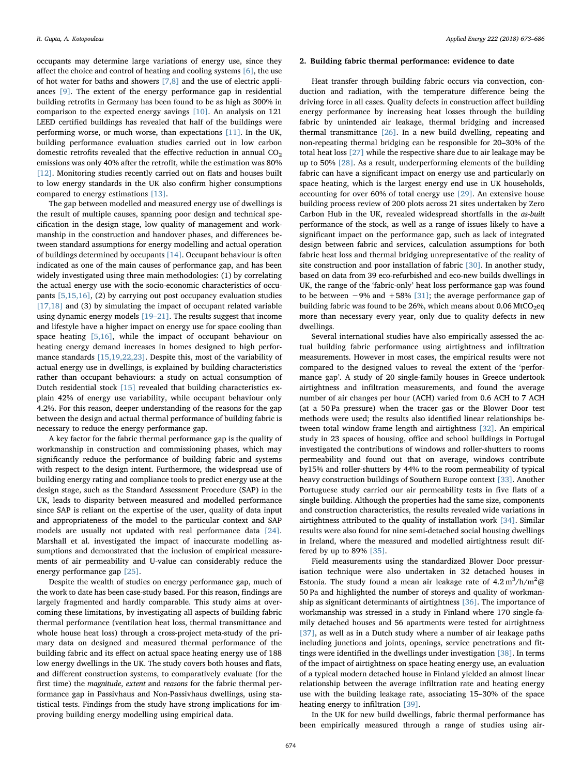<span id="page-2-0"></span>occupants may determine large variations of energy use, since they affect the choice and control of heating and cooling systems [\[6\],](#page-12-4) the use of hot water for baths and showers [\[7,8\]](#page-12-5) and the use of electric appliances [\[9\]](#page-12-6). The extent of the energy performance gap in residential building retrofits in Germany has been found to be as high as 300% in comparison to the expected energy savings [\[10\]](#page-12-7). An analysis on 121 LEED certified buildings has revealed that half of the buildings were performing worse, or much worse, than expectations [\[11\]](#page-12-8). In the UK, building performance evaluation studies carried out in low carbon domestic retrofits revealed that the effective reduction in annual  $CO<sub>2</sub>$ emissions was only 40% after the retrofit, while the estimation was 80% [\[12\]](#page-12-9). Monitoring studies recently carried out on flats and houses built to low energy standards in the UK also confirm higher consumptions compared to energy estimations [\[13\].](#page-12-10)

The gap between modelled and measured energy use of dwellings is the result of multiple causes, spanning poor design and technical specification in the design stage, low quality of management and workmanship in the construction and handover phases, and differences between standard assumptions for energy modelling and actual operation of buildings determined by occupants [\[14\]](#page-12-11). Occupant behaviour is often indicated as one of the main causes of performance gap, and has been widely investigated using three main methodologies: (1) by correlating the actual energy use with the socio-economic characteristics of occupants [\[5,15,16\],](#page-12-12) (2) by carrying out post occupancy evaluation studies [\[17,18\]](#page-12-13) and (3) by simulating the impact of occupant related variable using dynamic energy models [19–[21\]](#page-12-14). The results suggest that income and lifestyle have a higher impact on energy use for space cooling than space heating [\[5,16\]](#page-12-12), while the impact of occupant behaviour on heating energy demand increases in homes designed to high performance standards [\[15,19,22,23\].](#page-12-15) Despite this, most of the variability of actual energy use in dwellings, is explained by building characteristics rather than occupant behaviours: a study on actual consumption of Dutch residential stock [\[15\]](#page-12-15) revealed that building characteristics explain 42% of energy use variability, while occupant behaviour only 4.2%. For this reason, deeper understanding of the reasons for the gap between the design and actual thermal performance of building fabric is necessary to reduce the energy performance gap.

A key factor for the fabric thermal performance gap is the quality of workmanship in construction and commissioning phases, which may significantly reduce the performance of building fabric and systems with respect to the design intent. Furthermore, the widespread use of building energy rating and compliance tools to predict energy use at the design stage, such as the Standard Assessment Procedure (SAP) in the UK, leads to disparity between measured and modelled performance since SAP is reliant on the expertise of the user, quality of data input and appropriateness of the model to the particular context and SAP models are usually not updated with real performance data [\[24\]](#page-13-0). Marshall et al. investigated the impact of inaccurate modelling assumptions and demonstrated that the inclusion of empirical measurements of air permeability and U-value can considerably reduce the energy performance gap [\[25\]](#page-13-1).

Despite the wealth of studies on energy performance gap, much of the work to date has been case-study based. For this reason, findings are largely fragmented and hardly comparable. This study aims at overcoming these limitations, by investigating all aspects of building fabric thermal performance (ventilation heat loss, thermal transmittance and whole house heat loss) through a cross-project meta-study of the primary data on designed and measured thermal performance of the building fabric and its effect on actual space heating energy use of 188 low energy dwellings in the UK. The study covers both houses and flats, and different construction systems, to comparatively evaluate (for the first time) the *magnitude*, *extent* and *reasons* for the fabric thermal performance gap in Passivhaus and Non-Passivhaus dwellings, using statistical tests. Findings from the study have strong implications for improving building energy modelling using empirical data.

#### 2. Building fabric thermal performance: evidence to date

Heat transfer through building fabric occurs via convection, conduction and radiation, with the temperature difference being the driving force in all cases. Quality defects in construction affect building energy performance by increasing heat losses through the building fabric by unintended air leakage, thermal bridging and increased thermal transmittance [\[26\].](#page-13-2) In a new build dwelling, repeating and non-repeating thermal bridging can be responsible for 20–30% of the total heat loss [\[27\]](#page-13-3) while the respective share due to air leakage may be up to 50% [\[28\].](#page-13-4) As a result, underperforming elements of the building fabric can have a significant impact on energy use and particularly on space heating, which is the largest energy end use in UK households, accounting for over 60% of total energy use [\[29\].](#page-13-5) An extensive house building process review of 200 plots across 21 sites undertaken by Zero Carbon Hub in the UK, revealed widespread shortfalls in the *as-built* performance of the stock, as well as a range of issues likely to have a significant impact on the performance gap, such as lack of integrated design between fabric and services, calculation assumptions for both fabric heat loss and thermal bridging unrepresentative of the reality of site construction and poor installation of fabric [\[30\]](#page-13-6). In another study, based on data from 39 eco-refurbished and eco-new builds dwellings in UK, the range of the 'fabric-only' heat loss performance gap was found to be between  $-9%$  and  $+58%$  [\[31\]](#page-13-7); the average performance gap of building fabric was found to be 26%, which means about  $0.06$  MtCO<sub>2</sub>eq more than necessary every year, only due to quality defects in new dwellings.

Several international studies have also empirically assessed the actual building fabric performance using airtightness and infiltration measurements. However in most cases, the empirical results were not compared to the designed values to reveal the extent of the 'performance gap'. A study of 20 single-family houses in Greece undertook airtightness and infiltration measurements, and found the average number of air changes per hour (ACH) varied from 0.6 ACH to 7 ACH (at a 50 Pa pressure) when the tracer gas or the Blower Door test methods were used; the results also identified linear relationships between total window frame length and airtightness [\[32\]](#page-13-8). An empirical study in 23 spaces of housing, office and school buildings in Portugal investigated the contributions of windows and roller-shutters to rooms permeability and found out that on average, windows contribute by15% and roller-shutters by 44% to the room permeability of typical heavy construction buildings of Southern Europe context [\[33\].](#page-13-9) Another Portuguese study carried our air permeability tests in five flats of a single building. Although the properties had the same size, components and construction characteristics, the results revealed wide variations in airtightness attributed to the quality of installation work [\[34\]](#page-13-10). Similar results were also found for nine semi-detached social housing dwellings in Ireland, where the measured and modelled airtightness result differed by up to 89% [\[35\]](#page-13-11).

Field measurements using the standardized Blower Door pressurisation technique were also undertaken in 32 detached houses in Estonia. The study found a mean air leakage rate of  $4.2 \text{ m}^3/\text{h/m}^2$ @ 50 Pa and highlighted the number of storeys and quality of workmanship as significant determinants of airtightness [\[36\].](#page-13-12) The importance of workmanship was stressed in a study in Finland where 170 single-family detached houses and 56 apartments were tested for airtightness [\[37\]](#page-13-13), as well as in a Dutch study where a number of air leakage paths including junctions and joints, openings, service penetrations and fittings were identified in the dwellings under investigation [\[38\].](#page-13-14) In terms of the impact of airtightness on space heating energy use, an evaluation of a typical modern detached house in Finland yielded an almost linear relationship between the average infiltration rate and heating energy use with the building leakage rate, associating 15–30% of the space heating energy to infiltration [\[39\]](#page-13-15).

In the UK for new build dwellings, fabric thermal performance has been empirically measured through a range of studies using air-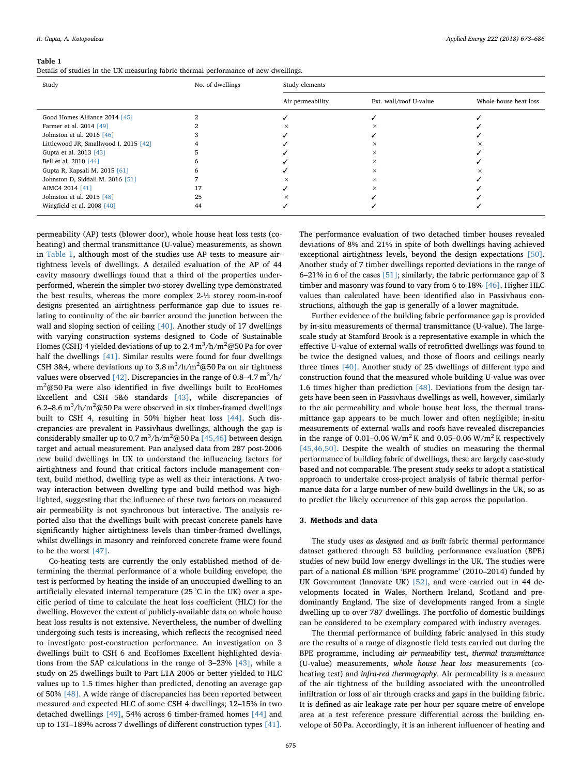Details of studies in the UK measuring fabric thermal performance of new dwellings.

| Study                                 | No. of dwellings | Study elements   |                        |                       |  |  |  |
|---------------------------------------|------------------|------------------|------------------------|-----------------------|--|--|--|
|                                       |                  | Air permeability | Ext. wall/roof U-value | Whole house heat loss |  |  |  |
| Good Homes Alliance 2014 [45]         |                  |                  |                        |                       |  |  |  |
| Farmer et al. 2014 [49]               |                  |                  |                        |                       |  |  |  |
| Johnston et al. 2016 [46]             |                  |                  |                        |                       |  |  |  |
| Littlewood JR, Smallwood I. 2015 [42] |                  |                  |                        |                       |  |  |  |
| Gupta et al. 2013 [43]                |                  |                  |                        |                       |  |  |  |
| Bell et al. 2010 [44]                 |                  |                  | $\times$               |                       |  |  |  |
| Gupta R, Kapsali M. 2015 [61]         |                  |                  |                        |                       |  |  |  |
| Johnston D, Siddall M. 2016 [51]      |                  |                  | $\times$               |                       |  |  |  |
| AIMC4 2014 [41]                       |                  |                  |                        |                       |  |  |  |
| Johnston et al. 2015 [48]             | 25               |                  |                        |                       |  |  |  |
| Wingfield et al. $2008$ $[40]$        | 44               |                  |                        |                       |  |  |  |

permeability (AP) tests (blower door), whole house heat loss tests (coheating) and thermal transmittance (U-value) measurements, as shown in [Table 1,](#page-2-0) although most of the studies use AP tests to measure airtightness levels of dwellings. A detailed evaluation of the AP of 44 cavity masonry dwellings found that a third of the properties underperformed, wherein the simpler two-storey dwelling type demonstrated the best results, whereas the more complex 2-½ storey room-in-roof designs presented an airtightness performance gap due to issues relating to continuity of the air barrier around the junction between the wall and sloping section of ceiling [\[40\].](#page-13-16) Another study of 17 dwellings with varying construction systems designed to Code of Sustainable Homes (CSH) 4 yielded deviations of up to 2.4  $\mathrm{m}^3/\mathrm{h}/\mathrm{m}^2$ @50 Pa for over half the dwellings [\[41\].](#page-13-17) Similar results were found for four dwellings CSH 3&4, where deviations up to  $3.8 \,\mathrm{m^3/h/m^2}$ @50 Pa on air tightness values were observed [\[42\].](#page-13-18) Discrepancies in the range of 0.8–4.7  $\text{m}^3/\text{h}$ / m $^2$ @50 Pa were also identified in five dwellings built to EcoHomes Excellent and CSH 5&6 standards [\[43\],](#page-13-19) while discrepancies of 6.2–8.6 m<sup>3</sup>/h/m<sup>2</sup>@50 Pa were observed in six timber-framed dwellings built to CSH 4, resulting in 50% higher heat loss [\[44\].](#page-13-20) Such discrepancies are prevalent in Passivhaus dwellings, although the gap is considerably smaller up to 0.7  $\text{m}^3/\text{h}/\text{m}^2$ @50 Pa [\[45,46\]](#page-13-21) between design target and actual measurement. Pan analysed data from 287 post-2006 new build dwellings in UK to understand the influencing factors for airtightness and found that critical factors include management context, build method, dwelling type as well as their interactions. A twoway interaction between dwelling type and build method was highlighted, suggesting that the influence of these two factors on measured air permeability is not synchronous but interactive. The analysis reported also that the dwellings built with precast concrete panels have significantly higher airtightness levels than timber-framed dwellings, whilst dwellings in masonry and reinforced concrete frame were found to be the worst [\[47\]](#page-13-22).

Co-heating tests are currently the only established method of determining the thermal performance of a whole building envelope; the test is performed by heating the inside of an unoccupied dwelling to an artificially elevated internal temperature (25 °C in the UK) over a specific period of time to calculate the heat loss coefficient (HLC) for the dwelling. However the extent of publicly-available data on whole house heat loss results is not extensive. Nevertheless, the number of dwelling undergoing such tests is increasing, which reflects the recognised need to investigate post-construction performance. An investigation on 3 dwellings built to CSH 6 and EcoHomes Excellent highlighted deviations from the SAP calculations in the range of 3–23% [\[43\]](#page-13-19), while a study on 25 dwellings built to Part L1A 2006 or better yielded to HLC values up to 1.5 times higher than predicted, denoting an average gap of 50% [\[48\].](#page-13-23) A wide range of discrepancies has been reported between measured and expected HLC of some CSH 4 dwellings; 12–15% in two detached dwellings [\[49\]](#page-13-24), 54% across 6 timber-framed homes [\[44\]](#page-13-20) and up to 131–189% across 7 dwellings of different construction types [\[41\]](#page-13-17).

The performance evaluation of two detached timber houses revealed deviations of 8% and 21% in spite of both dwellings having achieved exceptional airtightness levels, beyond the design expectations [\[50\]](#page-13-25). Another study of 7 timber dwellings reported deviations in the range of 6–21% in 6 of the cases [\[51\]](#page-13-26); similarly, the fabric performance gap of 3 timber and masonry was found to vary from 6 to 18% [\[46\]](#page-13-27). Higher HLC values than calculated have been identified also in Passivhaus constructions, although the gap is generally of a lower magnitude.

Further evidence of the building fabric performance gap is provided by in-situ measurements of thermal transmittance (U-value). The largescale study at Stamford Brook is a representative example in which the effective U-value of external walls of retrofitted dwellings was found to be twice the designed values, and those of floors and ceilings nearly three times [\[40\].](#page-13-16) Another study of 25 dwellings of different type and construction found that the measured whole building U-value was over 1.6 times higher than prediction [\[48\]](#page-13-23). Deviations from the design targets have been seen in Passivhaus dwellings as well, however, similarly to the air permeability and whole house heat loss, the thermal transmittance gap appears to be much lower and often negligible; in-situ measurements of external walls and roofs have revealed discrepancies in the range of 0.01–0.06 W/m<sup>2</sup> K and 0.05–0.06 W/m<sup>2</sup> K respectively [\[45,46,50\].](#page-13-21) Despite the wealth of studies on measuring the thermal performance of building fabric of dwellings, these are largely case-study based and not comparable. The present study seeks to adopt a statistical approach to undertake cross-project analysis of fabric thermal performance data for a large number of new-build dwellings in the UK, so as to predict the likely occurrence of this gap across the population.

#### 3. Methods and data

The study uses *as designed* and *as built* fabric thermal performance dataset gathered through 53 building performance evaluation (BPE) studies of new build low energy dwellings in the UK. The studies were part of a national £8 million 'BPE programme' (2010–2014) funded by UK Government (Innovate UK) [\[52\],](#page-13-28) and were carried out in 44 developments located in Wales, Northern Ireland, Scotland and predominantly England. The size of developments ranged from a single dwelling up to over 787 dwellings. The portfolio of domestic buildings can be considered to be exemplary compared with industry averages.

<span id="page-3-1"></span><span id="page-3-0"></span>The thermal performance of building fabric analysed in this study are the results of a range of diagnostic field tests carried out during the BPE programme, including *air permeability* test, *thermal transmittance* (U-value) measurements, *whole house heat loss* measurements (coheating test) and *infra-red thermography*. Air permeability is a measure of the air tightness of the building associated with the uncontrolled infiltration or loss of air through cracks and gaps in the building fabric. It is defined as air leakage rate per hour per square metre of envelope area at a test reference pressure differential across the building envelope of 50 Pa. Accordingly, it is an inherent influencer of heating and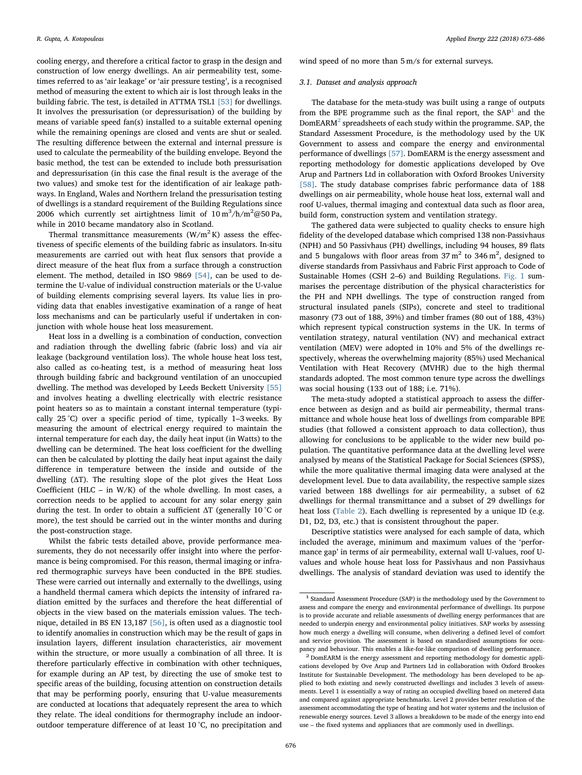<span id="page-4-0"></span>cooling energy, and therefore a critical factor to grasp in the design and construction of low energy dwellings. An air permeability test, sometimes referred to as 'air leakage' or 'air pressure testing', is a recognised method of measuring the extent to which air is lost through leaks in the building fabric. The test, is detailed in ATTMA TSL1 [\[53\]](#page-13-30) for dwellings. It involves the pressurisation (or depressurisation) of the building by means of variable speed fan(s) installed to a suitable external opening while the remaining openings are closed and vents are shut or sealed. The resulting difference between the external and internal pressure is used to calculate the permeability of the building envelope. Beyond the basic method, the test can be extended to include both pressurisation and depressurisation (in this case the final result is the average of the two values) and smoke test for the identification of air leakage pathways. In England, Wales and Northern Ireland the pressurisation testing of dwellings is a standard requirement of the Building Regulations since 2006 which currently set airtightness limit of  $10 \text{ m}^3/\text{h/m}^2$ @50 Pa, while in 2010 became mandatory also in Scotland.

Thermal transmittance measurements  $(W/m<sup>2</sup>K)$  assess the effectiveness of specific elements of the building fabric as insulators. In-situ measurements are carried out with heat flux sensors that provide a direct measure of the heat flux from a surface through a construction element. The method, detailed in ISO 9869 [\[54\]](#page-13-31), can be used to determine the U-value of individual construction materials or the U-value of building elements comprising several layers. Its value lies in providing data that enables investigative examination of a range of heat loss mechanisms and can be particularly useful if undertaken in conjunction with whole house heat loss measurement.

<span id="page-4-1"></span>Heat loss in a dwelling is a combination of conduction, convection and radiation through the dwelling fabric (fabric loss) and via air leakage (background ventilation loss). The whole house heat loss test, also called as co-heating test, is a method of measuring heat loss through building fabric and background ventilation of an unoccupied dwelling. The method was developed by Leeds Beckett University [\[55\]](#page-13-32) and involves heating a dwelling electrically with electric resistance point heaters so as to maintain a constant internal temperature (typically 25 °C) over a specific period of time, typically 1–3 weeks. By measuring the amount of electrical energy required to maintain the internal temperature for each day, the daily heat input (in Watts) to the dwelling can be determined. The heat loss coefficient for the dwelling can then be calculated by plotting the daily heat input against the daily difference in temperature between the inside and outside of the dwelling (ΔT). The resulting slope of the plot gives the Heat Loss Coefficient (HLC – in W/K) of the whole dwelling. In most cases, a correction needs to be applied to account for any solar energy gain during the test. In order to obtain a sufficient ΔT (generally 10 °C or more), the test should be carried out in the winter months and during the post-construction stage.

Whilst the fabric tests detailed above, provide performance measurements, they do not necessarily offer insight into where the performance is being compromised. For this reason, thermal imaging or infrared thermographic surveys have been conducted in the BPE studies. These were carried out internally and externally to the dwellings, using a handheld thermal camera which depicts the intensity of infrared radiation emitted by the surfaces and therefore the heat differential of objects in the view based on the materials emission values. The technique, detailed in BS EN 13,187 [\[56\],](#page-13-33) is often used as a diagnostic tool to identify anomalies in construction which may be the result of gaps in insulation layers, different insulation characteristics, air movement within the structure, or more usually a combination of all three. It is therefore particularly effective in combination with other techniques, for example during an AP test, by directing the use of smoke test to specific areas of the building, focusing attention on construction details that may be performing poorly, ensuring that U-value measurements are conducted at locations that adequately represent the area to which they relate. The ideal conditions for thermography include an indooroutdoor temperature difference of at least 10 °C, no precipitation and

wind speed of no more than 5 m/s for external surveys.

#### *3.1. Dataset and analysis approach*

The database for the meta-study was built using a range of outputs from the BPE programme such as the final report, the  $SAP<sup>1</sup>$  $SAP<sup>1</sup>$  $SAP<sup>1</sup>$  and the DomEARM<sup>[2](#page-3-1)</sup> spreadsheets of each study within the programme. SAP, the Standard Assessment Procedure, is the methodology used by the UK Government to assess and compare the energy and environmental performance of dwellings [\[57\]](#page-13-34). DomEARM is the energy assessment and reporting methodology for domestic applications developed by Ove Arup and Partners Ltd in collaboration with Oxford Brookes University [\[58\]](#page-13-35). The study database comprises fabric performance data of 188 dwellings on air permeability, whole house heat loss, external wall and roof U-values, thermal imaging and contextual data such as floor area, build form, construction system and ventilation strategy.

The gathered data were subjected to quality checks to ensure high fidelity of the developed database which comprised 138 non-Passivhaus (NPH) and 50 Passivhaus (PH) dwellings, including 94 houses, 89 flats and 5 bungalows with floor areas from  $37 \text{ m}^2$  to  $346 \text{ m}^2$ , designed to diverse standards from Passivhaus and Fabric First approach to Code of Sustainable Homes (CSH 2–6) and Building Regulations. [Fig. 1](#page-4-0) summarises the percentage distribution of the physical characteristics for the PH and NPH dwellings. The type of construction ranged from structural insulated panels (SIPs), concrete and steel to traditional masonry (73 out of 188, 39%) and timber frames (80 out of 188, 43%) which represent typical construction systems in the UK. In terms of ventilation strategy, natural ventilation (NV) and mechanical extract ventilation (MEV) were adopted in 10% and 5% of the dwellings respectively, whereas the overwhelming majority (85%) used Mechanical Ventilation with Heat Recovery (MVHR) due to the high thermal standards adopted. The most common tenure type across the dwellings was social housing (133 out of 188; i.e. 71%).

The meta-study adopted a statistical approach to assess the difference between as design and as build air permeability, thermal transmittance and whole house heat loss of dwellings from comparable BPE studies (that followed a consistent approach to data collection), thus allowing for conclusions to be applicable to the wider new build population. The quantitative performance data at the dwelling level were analysed by means of the Statistical Package for Social Sciences (SPSS), while the more qualitative thermal imaging data were analysed at the development level. Due to data availability, the respective sample sizes varied between 188 dwellings for air permeability, a subset of 62 dwellings for thermal transmittance and a subset of 29 dwellings for heat loss ([Table 2\)](#page-4-1). Each dwelling is represented by a unique ID (e.g. D1, D2, D3, etc.) that is consistent throughout the paper.

Descriptive statistics were analysed for each sample of data, which included the average, minimum and maximum values of the 'performance gap' in terms of air permeability, external wall U-values, roof Uvalues and whole house heat loss for Passivhaus and non Passivhaus dwellings. The analysis of standard deviation was used to identify the

<sup>&</sup>lt;sup>1</sup> Standard Assessment Procedure (SAP) is the methodology used by the Government to assess and compare the energy and environmental performance of dwellings. Its purpose is to provide accurate and reliable assessments of dwelling energy performances that are needed to underpin energy and environmental policy initiatives. SAP works by assessing how much energy a dwelling will consume, when delivering a defined level of comfort and service provision. The assessment is based on standardised assumptions for occupancy and behaviour. This enables a like-for-like comparison of dwelling performance.

<sup>2</sup> DomEARM is the energy assessment and reporting methodology for domestic applications developed by Ove Arup and Partners Ltd in collaboration with Oxford Brookes Institute for Sustainable Development. The methodology has been developed to be applied to both existing and newly constructed dwellings and includes 3 levels of assessments. Level 1 is essentially a way of rating an occupied dwelling based on metered data and compared against appropriate benchmarks. Level 2 provides better resolution of the assessment accommodating the type of heating and hot water systems and the inclusion of renewable energy sources. Level 3 allows a breakdown to be made of the energy into end use – the fixed systems and appliances that are commonly used in dwellings.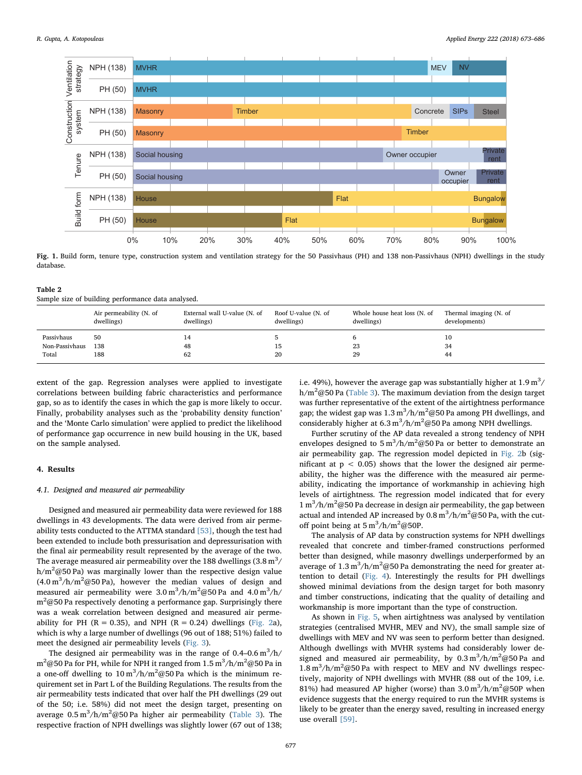<span id="page-5-0"></span>

Fig. 1. Build form, tenure type, construction system and ventilation strategy for the 50 Passivhaus (PH) and 138 non-Passivhaus (NPH) dwellings in the study database.

| Table 2 |  |  |
|---------|--|--|
|         |  |  |

Sample size of building performance data analysed.

|                                       | Air permeability (N. of | External wall U-value (N. of | Roof U-value (N. of | Whole house heat loss (N. of | Thermal imaging (N. of |
|---------------------------------------|-------------------------|------------------------------|---------------------|------------------------------|------------------------|
|                                       | dwellings)              | dwellings)                   | dwellings)          | dwellings)                   | developments)          |
| Passivhaus<br>Non-Passivhaus<br>Total | 50<br>138<br>188        | 14<br>48<br>62               | 15<br>20            | 23<br>29                     | 10<br>34<br>44         |

extent of the gap. Regression analyses were applied to investigate correlations between building fabric characteristics and performance gap, so as to identify the cases in which the gap is more likely to occur. Finally, probability analyses such as the 'probability density function' and the 'Monte Carlo simulation' were applied to predict the likelihood of performance gap occurrence in new build housing in the UK, based on the sample analysed.

#### <span id="page-5-1"></span>4. Results

#### *4.1. Designed and measured air permeability*

Designed and measured air permeability data were reviewed for 188 dwellings in 43 developments. The data were derived from air permeability tests conducted to the ATTMA standard [\[53\]](#page-13-30), though the test had been extended to include both pressurisation and depressurisation with the final air permeability result represented by the average of the two. The average measured air permeability over the 188 dwellings (3.8  $\mathrm{m}^3/\,$  $h/m^2$ @50 Pa) was marginally lower than the respective design value  $(4.0 \text{ m}^3/\text{h/m}^2 \textcircled{e} 50 \text{ Pa})$ , however the median values of design and measured air permeability were  $3.0 \,\mathrm{m}^3/\mathrm{h}/\mathrm{m}^2$ @50 Pa and  $4.0 \,\mathrm{m}^3/\mathrm{h}/$  $\text{m}^2$ @50 Pa respectively denoting a performance gap. Surprisingly there was a weak correlation between designed and measured air permeability for PH ( $R = 0.35$ ), and NPH ( $R = 0.24$ ) dwellings ([Fig. 2](#page-5-0)a), which is why a large number of dwellings (96 out of 188; 51%) failed to meet the designed air permeability levels [\(Fig. 3\)](#page-5-1).

The designed air permeability was in the range of  $0.4-0.6 \text{ m}^3/\text{h}$ m $^2$ @50 Pa for PH, while for NPH it ranged from 1.5 m $^3$ /h/m $^2$ @50 Pa in a one-off dwelling to  $10 \text{ m}^3/\text{h/m}^2$ @50 Pa which is the minimum requirement set in Part L of the Building Regulations. The results from the air permeability tests indicated that over half the PH dwellings (29 out of the 50; i.e. 58%) did not meet the design target, presenting on average  $0.5 \,\mathrm{m}^3/\mathrm{h}/\mathrm{m}^2$ @50 Pa higher air permeability ([Table 3](#page-6-0)). The respective fraction of NPH dwellings was slightly lower (67 out of 138;

i.e. 49%), however the average gap was substantially higher at  $1.9 \text{ m}^3$ /  $h/m^2 \omega$  = 0.50 Pa [\(Table 3](#page-6-0)). The maximum deviation from the design target was further representative of the extent of the airtightness performance gap; the widest gap was  $1.3 \text{ m}^3/\text{h/m}^2$ @50 Pa among PH dwellings, and considerably higher at  $6.3 \text{ m}^3/\text{h/m}^2$ @50 Pa among NPH dwellings.

Further scrutiny of the AP data revealed a strong tendency of NPH envelopes designed to  $5 \frac{\text{m}^3}{\text{h}} / \frac{\text{m}^2}{\text{Q}} 50 \text{ Pa}$  or better to demonstrate an air permeability gap. The regression model depicted in [Fig. 2](#page-5-0)b (significant at  $p < 0.05$ ) shows that the lower the designed air permeability, the higher was the difference with the measured air permeability, indicating the importance of workmanship in achieving high levels of airtightness. The regression model indicated that for every  $1 \text{ m}^3/\text{h/m}^2$ @50 Pa decrease in design air permeability, the gap between actual and intended AP increased by  $0.8 \text{ m}^3/\text{h/m}^2 \textcircled{e}50 \text{ Pa}$ , with the cutoff point being at  $5 \text{ m}^3/\text{h/m}^2$ @50P.

The analysis of AP data by construction systems for NPH dwellings revealed that concrete and timber-framed constructions performed better than designed, while masonry dwellings underperformed by an average of  $1.3 \text{ m}^3/\text{h/m}^2$ @50 Pa demonstrating the need for greater attention to detail ([Fig. 4](#page-6-1)). Interestingly the results for PH dwellings showed minimal deviations from the design target for both masonry and timber constructions, indicating that the quality of detailing and workmanship is more important than the type of construction.

As shown in [Fig. 5,](#page-6-2) when airtightness was analysed by ventilation strategies (centralised MVHR, MEV and NV), the small sample size of dwellings with MEV and NV was seen to perform better than designed. Although dwellings with MVHR systems had considerably lower designed and measured air permeability, by  $0.3 \text{ m}^3/\text{h/m}^2$ @50 Pa and  $1.8 \text{ m}^3/\text{h/m}^2$ @50 Pa with respect to MEV and NV dwellings respectively, majority of NPH dwellings with MVHR (88 out of the 109, i.e. 81%) had measured AP higher (worse) than  $3.0 \text{ m}^3/\text{h/m}^2$ @50P when evidence suggests that the energy required to run the MVHR systems is likely to be greater than the energy saved, resulting in increased energy use overall [\[59\].](#page-13-36)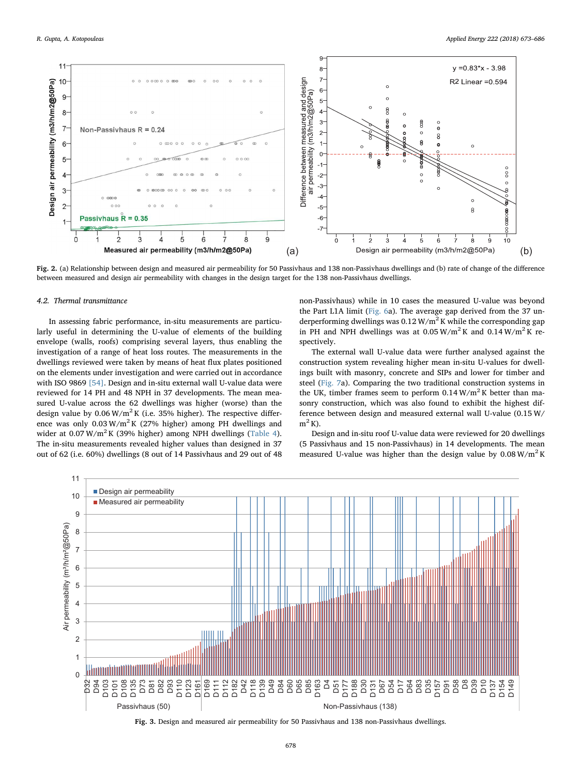<span id="page-6-0"></span>

Fig. 2. (a) Relationship between design and measured air permeability for 50 Passivhaus and 138 non-Passivhaus dwellings and (b) rate of change of the difference between measured and design air permeability with changes in the design target for the 138 non-Passivhaus dwellings.

#### *4.2. Thermal transmittance*

In assessing fabric performance, in-situ measurements are particularly useful in determining the U-value of elements of the building envelope (walls, roofs) comprising several layers, thus enabling the investigation of a range of heat loss routes. The measurements in the dwellings reviewed were taken by means of heat flux plates positioned on the elements under investigation and were carried out in accordance with ISO 9869 [\[54\]](#page-13-31). Design and in-situ external wall U-value data were reviewed for 14 PH and 48 NPH in 37 developments. The mean measured U-value across the 62 dwellings was higher (worse) than the design value by  $0.06 \text{ W/m}^2$  K (i.e. 35% higher). The respective difference was only  $0.03 \text{ W/m}^2 \text{ K}$  (27% higher) among PH dwellings and wider at  $0.07 \text{ W/m}^2$  K (39% higher) among NPH dwellings [\(Table 4](#page-7-0)). The in-situ measurements revealed higher values than designed in 37 out of 62 (i.e. 60%) dwellings (8 out of 14 Passivhaus and 29 out of 48 <span id="page-6-2"></span>non-Passivhaus) while in 10 cases the measured U-value was beyond the Part L1A limit [\(Fig. 6a](#page-8-0)). The average gap derived from the 37 underperforming dwellings was  $0.12 \,\mathrm{W/m^2 K}$  while the corresponding gap in PH and NPH dwellings was at  $0.05 \,\mathrm{W/m^2\,K}$  and  $0.14 \,\mathrm{W/m^2\,K}$  respectively.

The external wall U-value data were further analysed against the construction system revealing higher mean in-situ U-values for dwellings built with masonry, concrete and SIPs and lower for timber and steel ([Fig. 7](#page-8-1)a). Comparing the two traditional construction systems in the UK, timber frames seem to perform  $0.14 \text{ W/m}^2$ K better than masonry construction, which was also found to exhibit the highest difference between design and measured external wall U-value (0.15 W/  $m^2 K$ ).

Design and in-situ roof U-value data were reviewed for 20 dwellings (5 Passivhaus and 15 non-Passivhaus) in 14 developments. The mean measured U-value was higher than the design value by  $0.08 \text{ W/m}^2 \text{ K}$ 

<span id="page-6-1"></span>

Fig. 3. Design and measured air permeability for 50 Passivhaus and 138 non-Passivhaus dwellings.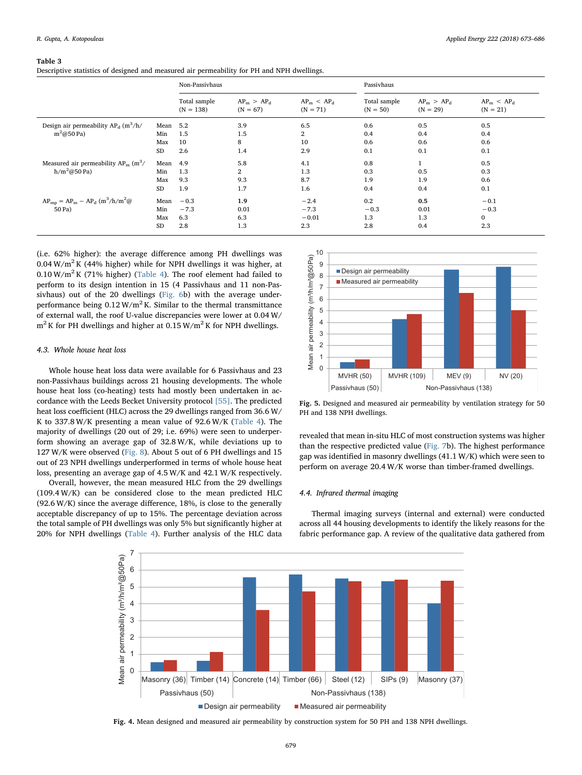<span id="page-7-0"></span>Descriptive statistics of designed and measured air permeability for PH and NPH dwellings.

|                                                             |          | Non-Passivhaus              |                             |                             | Passivhaus                 |                             |                             |  |
|-------------------------------------------------------------|----------|-----------------------------|-----------------------------|-----------------------------|----------------------------|-----------------------------|-----------------------------|--|
|                                                             |          | Total sample<br>$(N = 138)$ | $AP_m > AP_d$<br>$(N = 67)$ | $AP_m < AP_d$<br>$(N = 71)$ | Total sample<br>$(N = 50)$ | $AP_m > AP_d$<br>$(N = 29)$ | $AP_m < AP_d$<br>$(N = 21)$ |  |
| Design air permeability $AP_d$ (m <sup>3</sup> /h/          | Mean     | 5.2                         | 3.9                         | 6.5                         | 0.6                        | 0.5                         | 0.5                         |  |
| $m^2$ @50 Pa)                                               | Min      | 1.5                         | 1.5                         | $\overline{2}$              | 0.4                        | 0.4                         | 0.4                         |  |
|                                                             | Max      | 10                          | 8                           | 10                          | 0.6                        | 0.6                         | 0.6                         |  |
|                                                             | SD       | 2.6                         | 1.4                         | 2.9                         | 0.1                        | 0.1                         | 0.1                         |  |
| Measured air permeability $AP_m$ (m <sup>3</sup> /          | Mean     | 4.9                         | 5.8                         | 4.1                         | 0.8                        | $\mathbf{1}$                | 0.5                         |  |
| $h/m^2$ @50 Pa)                                             | Min      | 1.3                         | $\overline{2}$              | 1.3                         | 0.3                        | 0.5                         | 0.3                         |  |
|                                                             | Max      | 9.3                         | 9.3                         | 8.7                         | 1.9                        | 1.9                         | 0.6                         |  |
|                                                             | $\rm SD$ | 1.9                         | 1.7                         | 1.6                         | 0.4                        | 0.4                         | 0.1                         |  |
| $AP_{mp} = AP_m - AP_d$ (m <sup>3</sup> /h/m <sup>2</sup> @ | Mean     | $-0.3$                      | 1.9                         | $-2.4$                      | 0.2                        | 0.5                         | $-0.1$                      |  |
| 50 Pa)                                                      | Min      | $-7.3$                      | 0.01                        | $-7.3$                      | $-0.3$                     | 0.01                        | $-0.3$                      |  |
|                                                             | Max      | 6.3                         | 6.3                         | $-0.01$                     | 1.3                        | 1.3                         | $\mathbf{0}$                |  |
|                                                             | $\rm SD$ | 2.8                         | 1.3                         | 2.3                         | 2.8                        | 0.4                         | 2.3                         |  |

(i.e. 62% higher): the average difference among PH dwellings was  $0.04 \,\mathrm{W/m^2 K}$  (44% higher) while for NPH dwellings it was higher, at  $0.10 \,\mathrm{W/m^2\,K}$  (71% higher) ([Table 4\)](#page-7-0). The roof element had failed to perform to its design intention in 15 (4 Passivhaus and 11 non-Passivhaus) out of the 20 dwellings ([Fig. 6b](#page-8-0)) with the average underperformance being  $0.12 \,\mathrm{W/m^2 K}$ . Similar to the thermal transmittance of external wall, the roof U-value discrepancies were lower at 0.04 W/  $\text{m}^2$ K for PH dwellings and higher at 0.15 W/m $^2$ K for NPH dwellings.

#### *4.3. Whole house heat loss*

Whole house heat loss data were available for 6 Passivhaus and 23 non-Passivhaus buildings across 21 housing developments. The whole house heat loss (co-heating) tests had mostly been undertaken in accordance with the Leeds Becket University protocol [\[55\].](#page-13-32) The predicted heat loss coefficient (HLC) across the 29 dwellings ranged from 36.6 W/ K to 337.8 W/K presenting a mean value of 92.6 W/K ([Table 4\)](#page-7-0). The majority of dwellings (20 out of 29; i.e. 69%) were seen to underperform showing an average gap of 32.8 W/K, while deviations up to 127 W/K were observed ([Fig. 8\)](#page-9-0). About 5 out of 6 PH dwellings and 15 out of 23 NPH dwellings underperformed in terms of whole house heat loss, presenting an average gap of 4.5 W/K and 42.1 W/K respectively.

Overall, however, the mean measured HLC from the 29 dwellings (109.4 W/K) can be considered close to the mean predicted HLC (92.6 W/K) since the average difference, 18%, is close to the generally acceptable discrepancy of up to 15%. The percentage deviation across the total sample of PH dwellings was only 5% but significantly higher at 20% for NPH dwellings ([Table 4\)](#page-7-0). Further analysis of the HLC data



Fig. 5. Designed and measured air permeability by ventilation strategy for 50 PH and 138 NPH dwellings.

revealed that mean in-situ HLC of most construction systems was higher than the respective predicted value [\(Fig. 7](#page-8-1)b). The highest performance gap was identified in masonry dwellings (41.1 W/K) which were seen to perform on average 20.4 W/K worse than timber-framed dwellings.

#### *4.4. Infrared thermal imaging*

Thermal imaging surveys (internal and external) were conducted across all 44 housing developments to identify the likely reasons for the fabric performance gap. A review of the qualitative data gathered from



Fig. 4. Mean designed and measured air permeability by construction system for 50 PH and 138 NPH dwellings.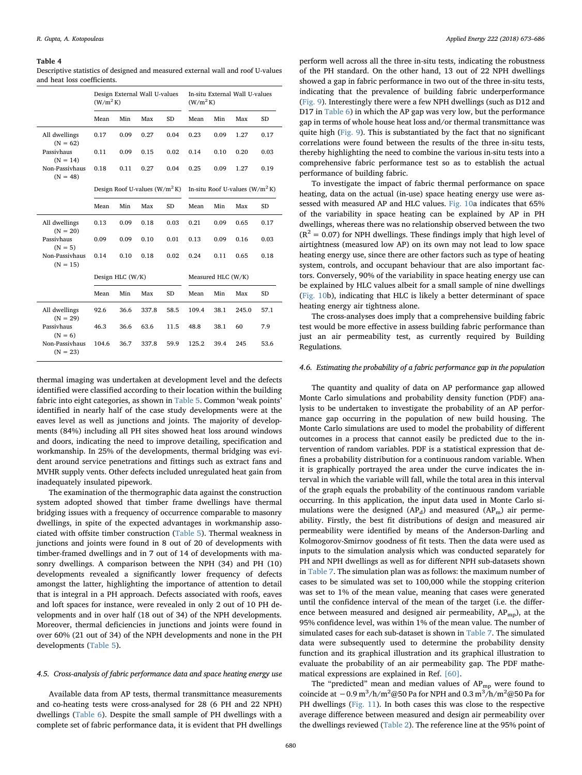<span id="page-8-0"></span>Descriptive statistics of designed and measured external wall and roof U-values and heat loss coefficients.

|                                            | (W/m <sup>2</sup> K) |                  | Design External Wall U-values   |           | In-situ External Wall U-values<br>(W/m <sup>2</sup> K) |      |       |           |
|--------------------------------------------|----------------------|------------------|---------------------------------|-----------|--------------------------------------------------------|------|-------|-----------|
|                                            | Mean                 | Min              | Max                             | <b>SD</b> | Mean                                                   | Min  | Max   | <b>SD</b> |
| All dwellings<br>$(N = 62)$                | 0.17                 | 0.09             | 0.27                            | 0.04      | 0.23                                                   | 0.09 | 1.27  | 0.17      |
| Passivhaus                                 | 0.11                 | 0.09             | 0.15                            | 0.02      | 0.14                                                   | 0.10 | 0.20  | 0.03      |
| $(N = 14)$<br>Non-Passivhaus<br>$(N = 48)$ | 0.18                 | 0.11             | 0.27                            | 0.04      | 0.25                                                   | 0.09 | 1.27  | 0.19      |
|                                            |                      |                  | Design Roof U-values $(W/m2 K)$ |           | In-situ Roof U-values $(W/m^2 K)$                      |      |       |           |
|                                            | Mean                 | Min              | Max                             | <b>SD</b> | Mean                                                   | Min  | Max   | <b>SD</b> |
| All dwellings<br>$(N = 20)$                | 0.13                 | 0.09             | 0.18                            | 0.03      | 0.21                                                   | 0.09 | 0.65  | 0.17      |
| Passivhaus<br>$(N = 5)$                    | 0.09                 | 0.09             | 0.10                            | 0.01      | 0.13                                                   | 0.09 | 0.16  | 0.03      |
| Non-Passivhaus<br>$(N = 15)$               | 0.14                 | 0.10             | 0.18                            | 0.02      | 0.24                                                   | 0.11 | 0.65  | 0.18      |
|                                            |                      | Design HLC (W/K) |                                 |           | Measured HLC (W/K)                                     |      |       |           |
|                                            | Mean                 | Min              | Max                             | <b>SD</b> | Mean                                                   | Min  | Max   | <b>SD</b> |
| All dwellings<br>$(N = 29)$                | 92.6                 | 36.6             | 337.8                           | 58.5      | 109.4                                                  | 38.1 | 245.0 | 57.1      |
| Passivhaus<br>$(N = 6)$                    | 46.3                 | 36.6             | 63.6                            | 11.5      | 48.8                                                   | 38.1 | 60    | 7.9       |
| Non-Passivhaus<br>$(N = 23)$               | 104.6                | 36.7             | 337.8                           | 59.9      | 125.2                                                  | 39.4 | 245   | 53.6      |

thermal imaging was undertaken at development level and the defects identified were classified according to their location within the building fabric into eight categories, as shown in [Table 5.](#page-9-1) Common 'weak points' identified in nearly half of the case study developments were at the eaves level as well as junctions and joints. The majority of developments (84%) including all PH sites showed heat loss around windows and doors, indicating the need to improve detailing, specification and workmanship. In 25% of the developments, thermal bridging was evident around service penetrations and fittings such as extract fans and MVHR supply vents. Other defects included unregulated heat gain from inadequately insulated pipework.

<span id="page-8-1"></span>The examination of the thermographic data against the construction system adopted showed that timber frame dwellings have thermal bridging issues with a frequency of occurrence comparable to masonry dwellings, in spite of the expected advantages in workmanship associated with offsite timber construction [\(Table 5](#page-9-1)). Thermal weakness in junctions and joints were found in 8 out of 20 of developments with timber-framed dwellings and in 7 out of 14 of developments with masonry dwellings. A comparison between the NPH (34) and PH (10) developments revealed a significantly lower frequency of defects amongst the latter, highlighting the importance of attention to detail that is integral in a PH approach. Defects associated with roofs, eaves and loft spaces for instance, were revealed in only 2 out of 10 PH developments and in over half (18 out of 34) of the NPH developments. Moreover, thermal deficiencies in junctions and joints were found in over 60% (21 out of 34) of the NPH developments and none in the PH developments ([Table 5\)](#page-9-1).

#### *4.5. Cross-analysis of fabric performance data and space heating energy use*

Available data from AP tests, thermal transmittance measurements and co-heating tests were cross-analysed for 28 (6 PH and 22 NPH) dwellings [\(Table 6](#page-9-2)). Despite the small sample of PH dwellings with a complete set of fabric performance data, it is evident that PH dwellings

perform well across all the three in-situ tests, indicating the robustness of the PH standard. On the other hand, 13 out of 22 NPH dwellings showed a gap in fabric performance in two out of the three in-situ tests, indicating that the prevalence of building fabric underperformance ([Fig. 9](#page-10-0)). Interestingly there were a few NPH dwellings (such as D12 and D17 in [Table 6](#page-9-2)) in which the AP gap was very low, but the performance gap in terms of whole house heat loss and/or thermal transmittance was quite high ([Fig. 9\)](#page-10-0). This is substantiated by the fact that no significant correlations were found between the results of the three in-situ tests, thereby highlighting the need to combine the various in-situ tests into a comprehensive fabric performance test so as to establish the actual performance of building fabric.

To investigate the impact of fabric thermal performance on space heating, data on the actual (in-use) space heating energy use were assessed with measured AP and HLC values. [Fig. 10](#page-10-1)a indicates that 65% of the variability in space heating can be explained by AP in PH dwellings, whereas there was no relationship observed between the two  $(R<sup>2</sup> = 0.07)$  for NPH dwellings. These findings imply that high level of airtightness (measured low AP) on its own may not lead to low space heating energy use, since there are other factors such as type of heating system, controls, and occupant behaviour that are also important factors. Conversely, 90% of the variability in space heating energy use can be explained by HLC values albeit for a small sample of nine dwellings ([Fig. 10b](#page-10-1)), indicating that HLC is likely a better determinant of space heating energy air tightness alone.

The cross-analyses does imply that a comprehensive building fabric test would be more effective in assess building fabric performance than just an air permeability test, as currently required by Building Regulations.

#### *4.6. Estimating the probability of a fabric performance gap in the population*

The quantity and quality of data on AP performance gap allowed Monte Carlo simulations and probability density function (PDF) analysis to be undertaken to investigate the probability of an AP performance gap occurring in the population of new build housing. The Monte Carlo simulations are used to model the probability of different outcomes in a process that cannot easily be predicted due to the intervention of random variables. PDF is a statistical expression that defines a probability distribution for a continuous random variable. When it is graphically portrayed the area under the curve indicates the interval in which the variable will fall, while the total area in this interval of the graph equals the probability of the continuous random variable occurring. In this application, the input data used in Monte Carlo simulations were the designed  $(AP<sub>d</sub>)$  and measured  $(AP<sub>m</sub>)$  air permeability. Firstly, the best fit distributions of design and measured air permeability were identified by means of the Anderson-Darling and Kolmogorov-Smirnov goodness of fit tests. Then the data were used as inputs to the simulation analysis which was conducted separately for PH and NPH dwellings as well as for different NPH sub-datasets shown in [Table 7](#page-10-2). The simulation plan was as follows: the maximum number of cases to be simulated was set to 100,000 while the stopping criterion was set to 1% of the mean value, meaning that cases were generated until the confidence interval of the mean of the target (i.e. the difference between measured and designed air permeability,  $AP_{mn}$ ), at the 95% confidence level, was within 1% of the mean value. The number of simulated cases for each sub-dataset is shown in [Table 7.](#page-10-2) The simulated data were subsequently used to determine the probability density function and its graphical illustration and its graphical illustration to evaluate the probability of an air permeability gap. The PDF mathematical expressions are explained in Ref. [\[60\].](#page-13-37)

The "predicted" mean and median values of  $AP_{\text{mp}}$  were found to coincide at  $-0.9$  m<sup>3</sup>/h/m<sup>2</sup>@50 Pa for NPH and 0.3 m<sup>3</sup>/h/m<sup>2</sup>@50 Pa for PH dwellings [\(Fig. 11](#page-11-0)). In both cases this was close to the respective average difference between measured and design air permeability over the dwellings reviewed ([Table 2\)](#page-4-1). The reference line at the 95% point of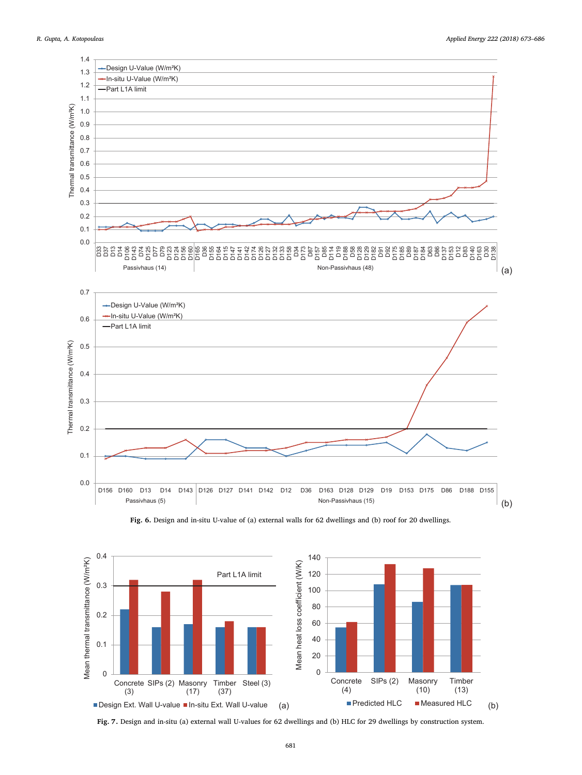<span id="page-9-0"></span>

<span id="page-9-1"></span>Fig. 6. Design and in-situ U-value of (a) external walls for 62 dwellings and (b) roof for 20 dwellings.

<span id="page-9-2"></span>

<span id="page-9-3"></span>Fig. 7. Design and in-situ (a) external wall U-values for 62 dwellings and (b) HLC for 29 dwellings by construction system.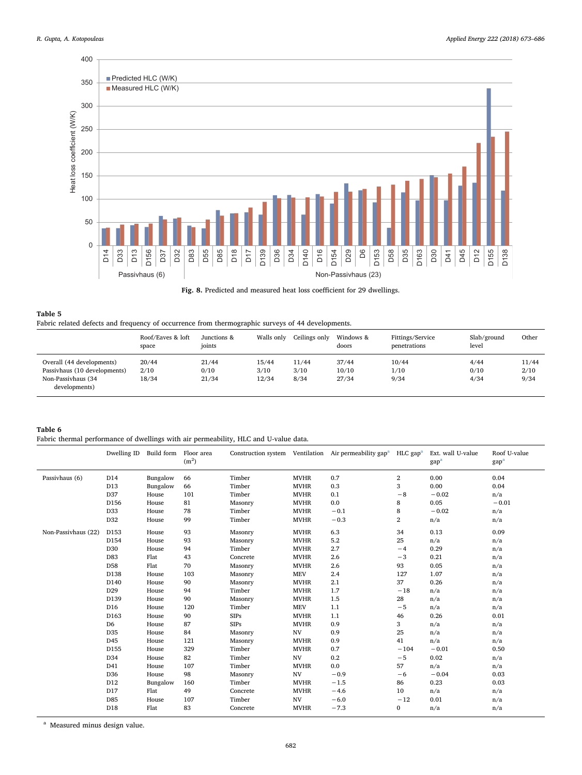<span id="page-10-0"></span>

| Fig. 8. Predicted and measured heat loss coefficient for 29 dwellings. |
|------------------------------------------------------------------------|
|------------------------------------------------------------------------|

<span id="page-10-1"></span>

| Table 5                                                                                           |  |
|---------------------------------------------------------------------------------------------------|--|
| Fabric related defects and frequency of occurrence from thermographic surveys of 44 developments. |  |

|                                                                                                  | Roof/Eaves & loft<br>space | Junctions &<br>joints  | Walls only             | Ceilings only         | Windows &<br>doors      | Fittings/Service<br>penetrations | Slab/ground<br>level | Other                 |
|--------------------------------------------------------------------------------------------------|----------------------------|------------------------|------------------------|-----------------------|-------------------------|----------------------------------|----------------------|-----------------------|
| Overall (44 developments)<br>Passivhaus (10 developments)<br>Non-Passivhaus (34<br>developments) | 20/44<br>2/10<br>18/34     | 21/44<br>0/10<br>21/34 | 15/44<br>3/10<br>12/34 | 11/44<br>3/10<br>8/34 | 37/44<br>10/10<br>27/34 | 10/44<br>1/10<br>9/34            | 4/44<br>0/10<br>4/34 | 11/44<br>2/10<br>9/34 |

Fabric thermal performance of dwellings with air permeability, HLC and U-value data.

<span id="page-10-2"></span>

|                     | Dwelling ID     | Build form Floor area | (m <sup>2</sup> ) | Construction system |             | Ventilation Air permeability $gapa$ HLC $gapa$ |                         | Ext. wall U-value<br>gap <sup>a</sup> | Roof U-value<br>gap <sup>a</sup> |
|---------------------|-----------------|-----------------------|-------------------|---------------------|-------------|------------------------------------------------|-------------------------|---------------------------------------|----------------------------------|
| Passivhaus (6)      | D14             | Bungalow              | 66                | Timber              | <b>MVHR</b> | 0.7                                            | $\overline{\mathbf{2}}$ | 0.00                                  | 0.04                             |
|                     | D13             | Bungalow              | 66                | Timber              | <b>MVHR</b> | 0.3                                            | 3                       | 0.00                                  | 0.04                             |
|                     | D37             | House                 | 101               | Timber              | <b>MVHR</b> | 0.1                                            | $-8$                    | $-0.02$                               | n/a                              |
|                     | D156            | House                 | 81                | Masonry             | <b>MVHR</b> | 0.0                                            | 8                       | 0.05                                  | $-0.01$                          |
|                     | D33             | House                 | 78                | Timber              | <b>MVHR</b> | $-0.1$                                         | 8                       | $-0.02$                               | n/a                              |
|                     | D32             | House                 | 99                | Timber              | <b>MVHR</b> | $-0.3$                                         | $\overline{\mathbf{2}}$ | n/a                                   | n/a                              |
| Non-Passivhaus (22) | D153            | House                 | 93                | Masonry             | <b>MVHR</b> | 6.3                                            | 34                      | 0.13                                  | 0.09                             |
|                     | D154            | House                 | 93                | Masonry             | <b>MVHR</b> | 5.2                                            | 25                      | n/a                                   | n/a                              |
|                     | D30             | House                 | 94                | Timber              | <b>MVHR</b> | 2.7                                            | $-4$                    | 0.29                                  | n/a                              |
|                     | D83             | Flat                  | 43                | Concrete            | <b>MVHR</b> | 2.6                                            | $-3$                    | 0.21                                  | n/a                              |
|                     | D58             | Flat                  | 70                | Masonry             | <b>MVHR</b> | 2.6                                            | 93                      | 0.05                                  | n/a                              |
|                     | D138            | House                 | 103               | Masonry             | <b>MEV</b>  | 2.4                                            | 127                     | 1.07                                  | n/a                              |
|                     | D140            | House                 | 90                | Masonry             | <b>MVHR</b> | 2.1                                            | 37                      | 0.26                                  | n/a                              |
|                     | D <sub>29</sub> | House                 | 94                | Timber              | <b>MVHR</b> | 1.7                                            | $-18$                   | n/a                                   | n/a                              |
|                     | D139            | House                 | 90                | Masonry             | <b>MVHR</b> | 1.5                                            | 28                      | n/a                                   | n/a                              |
|                     | D16             | House                 | 120               | Timber              | <b>MEV</b>  | 1.1                                            | $-5$                    | n/a                                   | n/a                              |
|                     | D163            | House                 | 90                | <b>SIPs</b>         | <b>MVHR</b> | 1.1                                            | 46                      | 0.26                                  | 0.01                             |
|                     | D <sub>6</sub>  | House                 | 87                | <b>SIPs</b>         | <b>MVHR</b> | 0.9                                            | 3                       | n/a                                   | n/a                              |
|                     | D35             | House                 | 84                | Masonry             | <b>NV</b>   | 0.9                                            | 25                      | n/a                                   | n/a                              |
|                     | D45             | House                 | 121               | Masonry             | <b>MVHR</b> | 0.9                                            | 41                      | n/a                                   | n/a                              |
|                     | D155            | House                 | 329               | Timber              | <b>MVHR</b> | 0.7                                            | $-104$                  | $-0.01$                               | 0.50                             |
|                     | D34             | House                 | 82                | Timber              | <b>NV</b>   | 0.2                                            | $-5$                    | 0.02                                  | n/a                              |
|                     | D41             | House                 | 107               | Timber              | <b>MVHR</b> | 0.0                                            | 57                      | n/a                                   | n/a                              |
|                     | D36             | House                 | 98                | Masonry             | <b>NV</b>   | $-0.9$                                         | $-6$                    | $-0.04$                               | 0.03                             |
|                     | D12             | Bungalow              | 160               | Timber              | <b>MVHR</b> | $-1.5$                                         | 86                      | 0.23                                  | 0.03                             |
|                     | D17             | Flat                  | 49                | Concrete            | <b>MVHR</b> | $-4.6$                                         | 10                      | n/a                                   | n/a                              |
|                     | D85             | House                 | 107               | Timber              | <b>NV</b>   | $-6.0$                                         | $-12$                   | 0.01                                  | n/a                              |
|                     | D18             | Flat                  | 83                | Concrete            | <b>MVHR</b> | $-7.3$                                         | $\mathbf{0}$            | n/a                                   | n/a                              |

<sup>a</sup> Measured minus design value.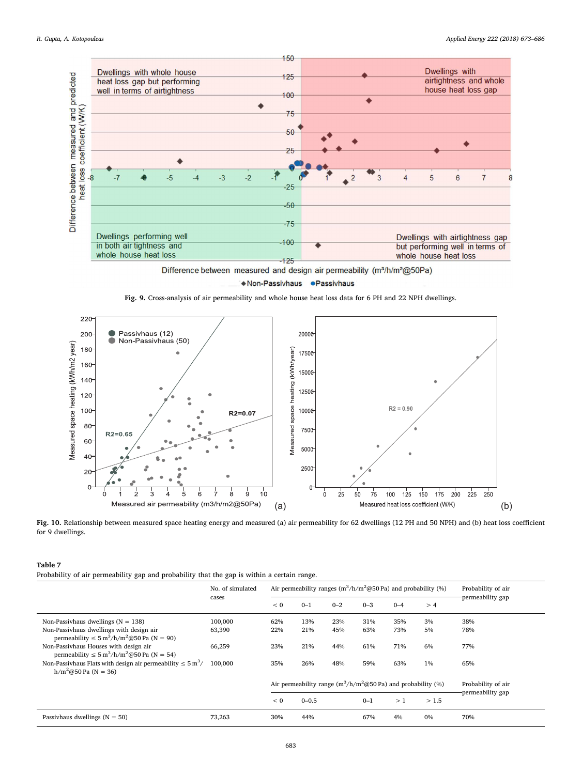<span id="page-11-0"></span>

Difference between measured and design air permeability (m<sup>3</sup>/h/m<sup>2</sup>@50Pa)

Non-Passivhaus · Passivhaus





Fig. 10. Relationship between measured space heating energy and measured (a) air permeability for 62 dwellings (12 PH and 50 NPH) and (b) heat loss coefficient for 9 dwellings.

| Table 7                                                                                     |  |
|---------------------------------------------------------------------------------------------|--|
| Probability of air permeability gap and probability that the gap is within a certain range. |  |

|                                                                                                                                   | No. of simulated<br>cases | Air permeability ranges $(m^3/h/m^2@50 \text{ Pa})$ and probability (%) |           |         |                    |         |       | Probability of air<br>permeability gap |
|-----------------------------------------------------------------------------------------------------------------------------------|---------------------------|-------------------------------------------------------------------------|-----------|---------|--------------------|---------|-------|----------------------------------------|
|                                                                                                                                   |                           | < 0                                                                     | $0 - 1$   | $0 - 2$ | $0 - 3$            | $0 - 4$ | >4    |                                        |
| Non-Passivhaus dwellings ( $N = 138$ )                                                                                            | 100,000                   | 62%                                                                     | 13%       | 23%     | 31%                | 35%     | 3%    | 38%                                    |
| Non-Passivhaus dwellings with design air<br>permeability $\leq 5 \text{ m}^3/\text{h/m}^2 \textcircled{a} 50 \text{ Pa}$ (N = 90) | 63,390                    | 22%                                                                     | 21%       | 45%     | 63%                | 73%     | 5%    | 78%                                    |
| Non-Passivhaus Houses with design air<br>permeability $\leq 5 \text{ m}^3/\text{h/m}^2 \text{@}50 \text{ Pa}$ (N = 54)            | 66,259                    | 23%                                                                     | 21%       | 44%     | 61%                | 71%     | 6%    | 77%                                    |
| Non-Passivhaus Flats with design air permeability $\leq 5 \text{ m}^3$ /<br>$h/m^2 \omega$ 50 Pa (N = 36)                         | 100,000                   | 35%                                                                     | 26%       | 48%     | 59%                | 63%     | $1\%$ | 65%                                    |
|                                                                                                                                   |                           | Air permeability range $(m^3/h/m^2@50 Pa)$ and probability (%)          |           |         | Probability of air |         |       |                                        |
|                                                                                                                                   |                           | < 0                                                                     | $0 - 0.5$ |         | $0 - 1$            | >1      | >1.5  | permeability gap                       |
| Passivhaus dwellings $(N = 50)$                                                                                                   | 73,263                    | 30%                                                                     | 44%       |         | 67%                | 4%      | 0%    | 70%                                    |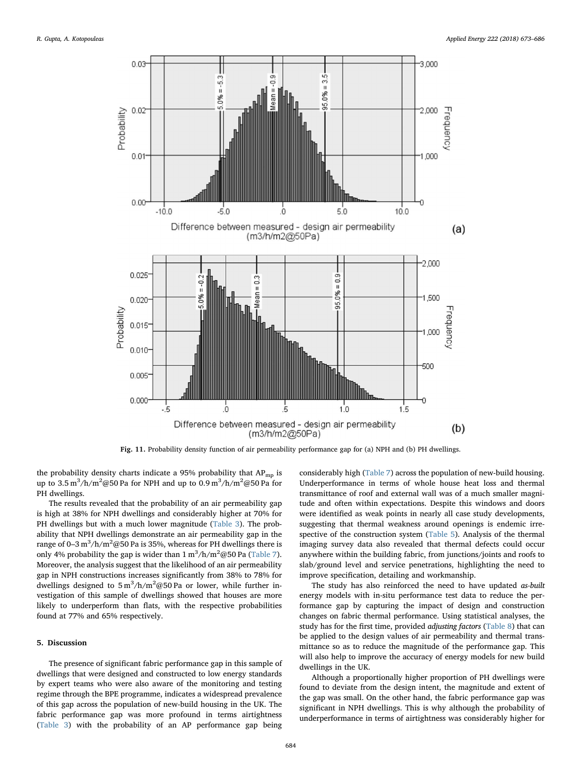<span id="page-12-16"></span>

Fig. 11. Probability density function of air permeability performance gap for (a) NPH and (b) PH dwellings.

the probability density charts indicate a 95% probability that  $AP_{mp}$  is up to  $3.5 \,\mathrm{m^3/h/m^2}$ @50 Pa for NPH and up to  $0.9 \,\mathrm{m^3/h/m^2}$ @50 Pa for PH dwellings.

The results revealed that the probability of an air permeability gap is high at 38% for NPH dwellings and considerably higher at 70% for PH dwellings but with a much lower magnitude [\(Table 3](#page-6-0)). The probability that NPH dwellings demonstrate an air permeability gap in the range of 0–3 m $\rm{^{3}/h/m^{2}}$ @50 Pa is 35%, whereas for PH dwellings there is only 4% probability the gap is wider than  $1 \text{ m}^3/\text{h/m}^2$ @50 Pa [\(Table 7](#page-10-2)). Moreover, the analysis suggest that the likelihood of an air permeability gap in NPH constructions increases significantly from 38% to 78% for dwellings designed to  $5 \text{ m}^3/\text{h/m}^2$ @50 Pa or lower, while further investigation of this sample of dwellings showed that houses are more likely to underperform than flats, with the respective probabilities found at 77% and 65% respectively.

#### 5. Discussion

The presence of significant fabric performance gap in this sample of dwellings that were designed and constructed to low energy standards by expert teams who were also aware of the monitoring and testing regime through the BPE programme, indicates a widespread prevalence of this gap across the population of new-build housing in the UK. The fabric performance gap was more profound in terms airtightness ([Table 3\)](#page-6-0) with the probability of an AP performance gap being <span id="page-12-12"></span><span id="page-12-7"></span><span id="page-12-6"></span><span id="page-12-5"></span><span id="page-12-4"></span><span id="page-12-3"></span><span id="page-12-2"></span><span id="page-12-1"></span><span id="page-12-0"></span>considerably high ([Table 7\)](#page-10-2) across the population of new-build housing. Underperformance in terms of whole house heat loss and thermal transmittance of roof and external wall was of a much smaller magnitude and often within expectations. Despite this windows and doors were identified as weak points in nearly all case study developments, suggesting that thermal weakness around openings is endemic irrespective of the construction system ([Table 5\)](#page-9-1). Analysis of the thermal imaging survey data also revealed that thermal defects could occur anywhere within the building fabric, from junctions/joints and roofs to slab/ground level and service penetrations, highlighting the need to improve specification, detailing and workmanship.

<span id="page-12-15"></span><span id="page-12-11"></span><span id="page-12-10"></span><span id="page-12-9"></span><span id="page-12-8"></span>The study has also reinforced the need to have updated *as-built* energy models with in-situ performance test data to reduce the performance gap by capturing the impact of design and construction changes on fabric thermal performance. Using statistical analyses, the study has for the first time, provided *adjusting factors* ([Table 8\)](#page-12-16) that can be applied to the design values of air permeability and thermal transmittance so as to reduce the magnitude of the performance gap. This will also help to improve the accuracy of energy models for new build dwellings in the UK.

<span id="page-12-14"></span><span id="page-12-13"></span>Although a proportionally higher proportion of PH dwellings were found to deviate from the design intent, the magnitude and extent of the gap was small. On the other hand, the fabric performance gap was significant in NPH dwellings. This is why although the probability of underperformance in terms of airtightness was considerably higher for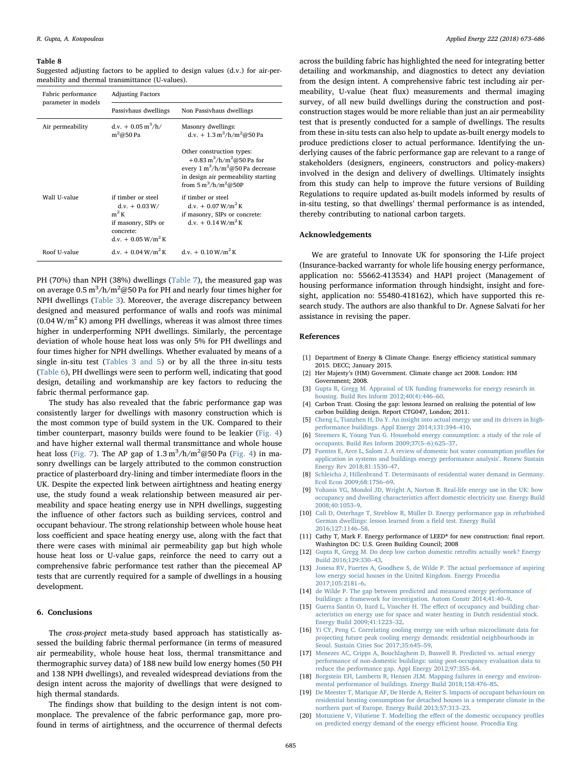Suggested adjusting factors to be applied to design values (d.v.) for air-permeability and thermal transmittance (U-values).

<span id="page-13-2"></span><span id="page-13-1"></span><span id="page-13-0"></span>

| Fabric performance<br>parameter in models | <b>Adjusting Factors</b>                                                                                    |                                                                                                                                                                                                                              |  |  |  |  |
|-------------------------------------------|-------------------------------------------------------------------------------------------------------------|------------------------------------------------------------------------------------------------------------------------------------------------------------------------------------------------------------------------------|--|--|--|--|
|                                           | Passivhaus dwellings                                                                                        | Non Passivhaus dwellings                                                                                                                                                                                                     |  |  |  |  |
| Air permeability                          | $d.v. + 0.05 m3/h/$<br>$m^2\omega$ 50 Pa                                                                    | Masonry dwellings:<br>d.v. + $1.3 \text{ m}^3/\text{h/m}^2$ @50 Pa                                                                                                                                                           |  |  |  |  |
|                                           |                                                                                                             | Other construction types:<br>$+0.83 \,\mathrm{m}^3/\mathrm{h}/\mathrm{m}^2/\omega$ 50 Pa for<br>every $1 \text{ m}^3/\text{h/m}^2$ @50 Pa decrease<br>in design air permeability starting<br>from $5 \frac{m^3}{h/m^2}$ @50P |  |  |  |  |
| Wall U-value                              | if timber or steel<br>$dx + 0.03 W/$<br>$m^2 K$<br>if masonry, SIPs or<br>concrete:<br>$d.v. + 0.05 W/m2 K$ | if timber or steel<br>$d.v. + 0.07 W/m2 K$<br>if masonry, SIPs or concrete:<br>$d.v. + 0.14 W/m2 K$                                                                                                                          |  |  |  |  |
| Roof U-value                              | $dx + 0.04 W/m2 K$                                                                                          | d.v. $+0.10 W/m^2 K$                                                                                                                                                                                                         |  |  |  |  |

<span id="page-13-11"></span><span id="page-13-10"></span><span id="page-13-9"></span><span id="page-13-8"></span><span id="page-13-7"></span><span id="page-13-6"></span><span id="page-13-5"></span><span id="page-13-4"></span><span id="page-13-3"></span>PH (70%) than NPH (38%) dwellings ([Table 7](#page-10-2)), the measured gap was on average 0.5 m $\rm ^3/h/m^2$ @50 Pa for PH and nearly four times higher for NPH dwellings [\(Table 3](#page-6-0)). Moreover, the average discrepancy between designed and measured performance of walls and roofs was minimal  $(0.04 \text{ W/m}^2 \text{ K})$  among PH dwellings, whereas it was almost three times higher in underperforming NPH dwellings. Similarly, the percentage deviation of whole house heat loss was only 5% for PH dwellings and four times higher for NPH dwellings. Whether evaluated by means of a single in-situ test [\(Tables 3 and 5](#page-6-0)) or by all the three in-situ tests ([Table 6\)](#page-9-2), PH dwellings were seen to perform well, indicating that good design, detailing and workmanship are key factors to reducing the fabric thermal performance gap.

<span id="page-13-16"></span><span id="page-13-15"></span><span id="page-13-14"></span><span id="page-13-13"></span><span id="page-13-12"></span>The study has also revealed that the fabric performance gap was consistently larger for dwellings with masonry construction which is the most common type of build system in the UK. Compared to their timber counterpart, masonry builds were found to be leakier ([Fig. 4\)](#page-6-1) and have higher external wall thermal transmittance and whole house heat loss [\(Fig. 7](#page-8-1)). The AP gap of  $1.3 \text{ m}^3/\text{h/m}^2$ @50 Pa [\(Fig. 4](#page-6-1)) in masonry dwellings can be largely attributed to the common construction practice of plasterboard dry-lining and timber intermediate floors in the UK. Despite the expected link between airtightness and heating energy use, the study found a weak relationship between measured air permeability and space heating energy use in NPH dwellings, suggesting the influence of other factors such as building services, control and occupant behaviour. The strong relationship between whole house heat loss coefficient and space heating energy use, along with the fact that there were cases with minimal air permeability gap but high whole house heat loss or U-value gaps, reinforce the need to carry out a comprehensive fabric performance test rather than the piecemeal AP tests that are currently required for a sample of dwellings in a housing development.

#### 6. Conclusions

The *cross-project* meta-study based approach has statistically assessed the building fabric thermal performance (in terms of measured air permeability, whole house heat loss, thermal transmittance and thermographic survey data) of 188 new build low energy homes (50 PH and 138 NPH dwellings), and revealed widespread deviations from the design intent across the majority of dwellings that were designed to high thermal standards.

The findings show that building to the design intent is not commonplace. The prevalence of the fabric performance gap, more profound in terms of airtightness, and the occurrence of thermal defects

<span id="page-13-21"></span><span id="page-13-20"></span><span id="page-13-19"></span><span id="page-13-18"></span><span id="page-13-17"></span>across the building fabric has highlighted the need for integrating better detailing and workmanship, and diagnostics to detect any deviation from the design intent. A comprehensive fabric test including air permeability, U-value (heat flux) measurements and thermal imaging survey, of all new build dwellings during the construction and postconstruction stages would be more reliable than just an air permeability test that is presently conducted for a sample of dwellings. The results from these in-situ tests can also help to update as-built energy models to produce predictions closer to actual performance. Identifying the underlying causes of the fabric performance gap are relevant to a range of stakeholders (designers, engineers, constructors and policy-makers) involved in the design and delivery of dwellings. Ultimately insights from this study can help to improve the future versions of Building Regulations to require updated as-built models informed by results of in-situ testing, so that dwellings' thermal performance is as intended, thereby contributing to national carbon targets.

#### <span id="page-13-27"></span><span id="page-13-26"></span><span id="page-13-25"></span><span id="page-13-24"></span><span id="page-13-23"></span><span id="page-13-22"></span>Acknowledgements

<span id="page-13-32"></span><span id="page-13-31"></span><span id="page-13-30"></span><span id="page-13-28"></span>We are grateful to Innovate UK for sponsoring the I-Life project (Insurance-backed warranty for whole life housing energy performance, application no: 55662-413534) and HAPI project (Management of housing performance information through hindsight, insight and foresight, application no: 55480-418162), which have supported this research study. The authors are also thankful to Dr. Agnese Salvati for her assistance in revising the paper.

#### <span id="page-13-34"></span><span id="page-13-33"></span>References

- <span id="page-13-35"></span>[1] Department of Energy & Climate Change. Energy efficiency statistical summary 2015. DECC; January 2015.
- <span id="page-13-36"></span>[2] Her Majesty's (HM) Government. Climate change act 2008. London: HM Government; 2008.
- [3] [Gupta R, Gregg M. Appraisal of UK funding frameworks for energy research in](http://refhub.elsevier.com/S0306-2619(18)30434-3/h0015) [housing. Build Res Inform 2012;40\(4\):446](http://refhub.elsevier.com/S0306-2619(18)30434-3/h0015)–60.
- <span id="page-13-37"></span>[4] Carbon Trust. Closing the gap: lessons learned on realising the potential of low carbon building design. Report CTG047, London; 2011.
- <span id="page-13-29"></span>[5] [Cheng L, Tianzhen H, Da Y. An insight into actual energy use and its drivers in high](http://refhub.elsevier.com/S0306-2619(18)30434-3/h0025)[performance buildings. Appl Energy 2014;131:394](http://refhub.elsevier.com/S0306-2619(18)30434-3/h0025)–410.
- [6] [Steemers K, Young Yun G. Household energy consumption: a study of the role of](http://refhub.elsevier.com/S0306-2619(18)30434-3/h0030) [occupants. Build Res Inform 2009;37\(5](http://refhub.elsevier.com/S0306-2619(18)30434-3/h0030)–6):625–37.
- [7] [Fuentes E, Arce L, Salom J. A review of domestic hot water consumption pro](http://refhub.elsevier.com/S0306-2619(18)30434-3/h0035)files for [application in systems and buildings energy performance analysis](http://refhub.elsevier.com/S0306-2619(18)30434-3/h0035)'. Renew Sustain [Energy Rev 2018;81:1530](http://refhub.elsevier.com/S0306-2619(18)30434-3/h0035)–47.
- [8] [Schleicha J, Hillenbrand T. Determinants of residential water demand in Germany.](http://refhub.elsevier.com/S0306-2619(18)30434-3/h0040) [Ecol Econ 2009;68:1756](http://refhub.elsevier.com/S0306-2619(18)30434-3/h0040)–69.
- [9] [Yohanis YG, Mondol JD, Wright A, Norton B. Real-life energy use in the UK: how](http://refhub.elsevier.com/S0306-2619(18)30434-3/h0045) occupancy and dwelling characteristics aff[ect domestic electricity use. Energy Build](http://refhub.elsevier.com/S0306-2619(18)30434-3/h0045) [2008;40:1053](http://refhub.elsevier.com/S0306-2619(18)30434-3/h0045)–9.
- [10] [Calì D, Osterhage T, Streblow R, Müller D. Energy performance gap in refurbished](http://refhub.elsevier.com/S0306-2619(18)30434-3/h0050) [German dwellings: lesson learned from a](http://refhub.elsevier.com/S0306-2619(18)30434-3/h0050) field test. Energy Build [2016;127:1146](http://refhub.elsevier.com/S0306-2619(18)30434-3/h0050)–58.
- [11] Cathy T, Mark F. Energy performance of LEED® for new construction: final report. Washington DC: U.S. Green Building Council; 2008
- [12] [Gupta R, Gregg M. Do deep low carbon domestic retro](http://refhub.elsevier.com/S0306-2619(18)30434-3/h0060)fits actually work? Energy [Build 2016;129:330](http://refhub.elsevier.com/S0306-2619(18)30434-3/h0060)–43.
- [13] [Jonesa RV, Fuertes A, Goodhew S, de Wilde P. The actual performance of aspiring](http://refhub.elsevier.com/S0306-2619(18)30434-3/h0065) [low energy social houses in the United Kingdom. Energy Procedia](http://refhub.elsevier.com/S0306-2619(18)30434-3/h0065) [2017;105:2181](http://refhub.elsevier.com/S0306-2619(18)30434-3/h0065)–6.
- [14] [de Wilde P. The gap between predicted and measured energy performance of](http://refhub.elsevier.com/S0306-2619(18)30434-3/h0070) [buildings: a framework for investigation. Autom Constr 2014;41:40](http://refhub.elsevier.com/S0306-2619(18)30434-3/h0070)–9.
- [15] [Guerra Santin O, Itard L, Visscher H. The e](http://refhub.elsevier.com/S0306-2619(18)30434-3/h0075)ffect of occupancy and building char[acteristics on energy use for space and water heating in Dutch residential stock.](http://refhub.elsevier.com/S0306-2619(18)30434-3/h0075) [Energy Build 2009;41:1223](http://refhub.elsevier.com/S0306-2619(18)30434-3/h0075)–32.
- [16] [Yi CY, Peng C. Correlating cooling energy use with urban microclimate data for](http://refhub.elsevier.com/S0306-2619(18)30434-3/h0080) [projecting future peak cooling energy demands: residential neighbourhoods in](http://refhub.elsevier.com/S0306-2619(18)30434-3/h0080) [Seoul. Sustain Cities Soc 2017;35:645](http://refhub.elsevier.com/S0306-2619(18)30434-3/h0080)–59.
- [17] [Menezes AC, Cripps A, Bouchlaghem D, Buswell R. Predicted vs. actual energy](http://refhub.elsevier.com/S0306-2619(18)30434-3/h0085) [performance of non-domestic buildings: using post-occupancy evaluation data to](http://refhub.elsevier.com/S0306-2619(18)30434-3/h0085) [reduce the performance gap. Appl Energy 2012;97:355](http://refhub.elsevier.com/S0306-2619(18)30434-3/h0085)–64.
- [18] [Borgstein EH, Lamberts R, Hensen JLM. Mapping failures in energy and environ](http://refhub.elsevier.com/S0306-2619(18)30434-3/h0090)[mental performance of buildings. Energy Build 2018;158:476](http://refhub.elsevier.com/S0306-2619(18)30434-3/h0090)–85.
- [19] [De Meester T, Marique AF, De Herde A, Reiter S. Impacts of occupant behaviours on](http://refhub.elsevier.com/S0306-2619(18)30434-3/h0095) [residential heating consumption for detached houses in a temperate climate in the](http://refhub.elsevier.com/S0306-2619(18)30434-3/h0095) [northern part of Europe. Energy Build 2013;57:313](http://refhub.elsevier.com/S0306-2619(18)30434-3/h0095)–23.
- [20] [Motuziene V, Vilutiene T. Modelling the e](http://refhub.elsevier.com/S0306-2619(18)30434-3/h0100)ffect of the domestic occupancy profiles [on predicted energy demand of the energy e](http://refhub.elsevier.com/S0306-2619(18)30434-3/h0100)fficient house. Procedia Eng